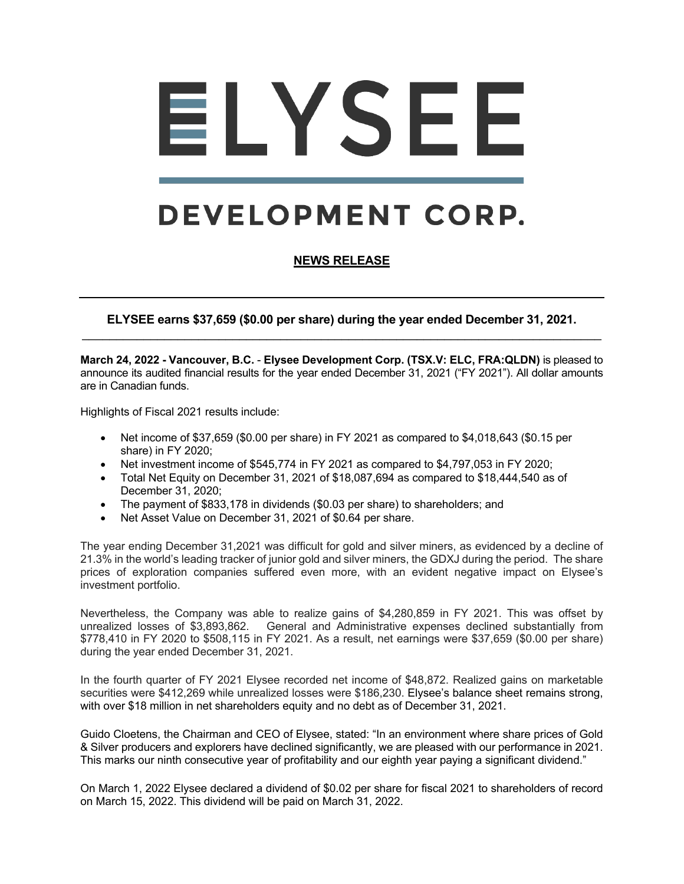# ELYSEE

# **DEVELOPMENT CORP.**

# **NEWS RELEASE**

**ELYSEE earns \$37,659 (\$0.00 per share) during the year ended December 31, 2021.**  $\mathcal{L}_\text{max} = \mathcal{L}_\text{max} = \mathcal{L}_\text{max} = \mathcal{L}_\text{max} = \mathcal{L}_\text{max} = \mathcal{L}_\text{max} = \mathcal{L}_\text{max} = \mathcal{L}_\text{max} = \mathcal{L}_\text{max} = \mathcal{L}_\text{max} = \mathcal{L}_\text{max} = \mathcal{L}_\text{max} = \mathcal{L}_\text{max} = \mathcal{L}_\text{max} = \mathcal{L}_\text{max} = \mathcal{L}_\text{max} = \mathcal{L}_\text{max} = \mathcal{L}_\text{max} = \mathcal{$ 

**March 24, 2022 - Vancouver, B.C.** - **Elysee Development Corp. (TSX.V: ELC, FRA:QLDN)** is pleased to announce its audited financial results for the year ended December 31, 2021 ("FY 2021"). All dollar amounts are in Canadian funds.

Highlights of Fiscal 2021 results include:

- Net income of  $$37,659$  (\$0.00 per share) in FY 2021 as compared to  $$4,018,643$  (\$0.15 per share) in FY 2020;
- Net investment income of \$545,774 in FY 2021 as compared to \$4,797,053 in FY 2020;
- Total Net Equity on December 31, 2021 of \$18,087,694 as compared to \$18,444,540 as of December 31, 2020;
- The payment of \$833,178 in dividends (\$0.03 per share) to shareholders; and
- Net Asset Value on December 31, 2021 of \$0.64 per share.

The year ending December 31,2021 was difficult for gold and silver miners, as evidenced by a decline of 21.3% in the world's leading tracker of junior gold and silver miners, the GDXJ during the period. The share prices of exploration companies suffered even more, with an evident negative impact on Elysee's investment portfolio.

Nevertheless, the Company was able to realize gains of \$4,280,859 in FY 2021. This was offset by unrealized losses of \$3,893,862. General and Administrative expenses declined substantially from \$778,410 in FY 2020 to \$508,115 in FY 2021. As a result, net earnings were \$37,659 (\$0.00 per share) during the year ended December 31, 2021.

In the fourth quarter of FY 2021 Elysee recorded net income of \$48,872. Realized gains on marketable securities were \$412,269 while unrealized losses were \$186,230. Elysee's balance sheet remains strong, with over \$18 million in net shareholders equity and no debt as of December 31, 2021.

Guido Cloetens, the Chairman and CEO of Elysee, stated: "In an environment where share prices of Gold & Silver producers and explorers have declined significantly, we are pleased with our performance in 2021. This marks our ninth consecutive year of profitability and our eighth year paying a significant dividend."

On March 1, 2022 Elysee declared a dividend of \$0.02 per share for fiscal 2021 to shareholders of record on March 15, 2022. This dividend will be paid on March 31, 2022.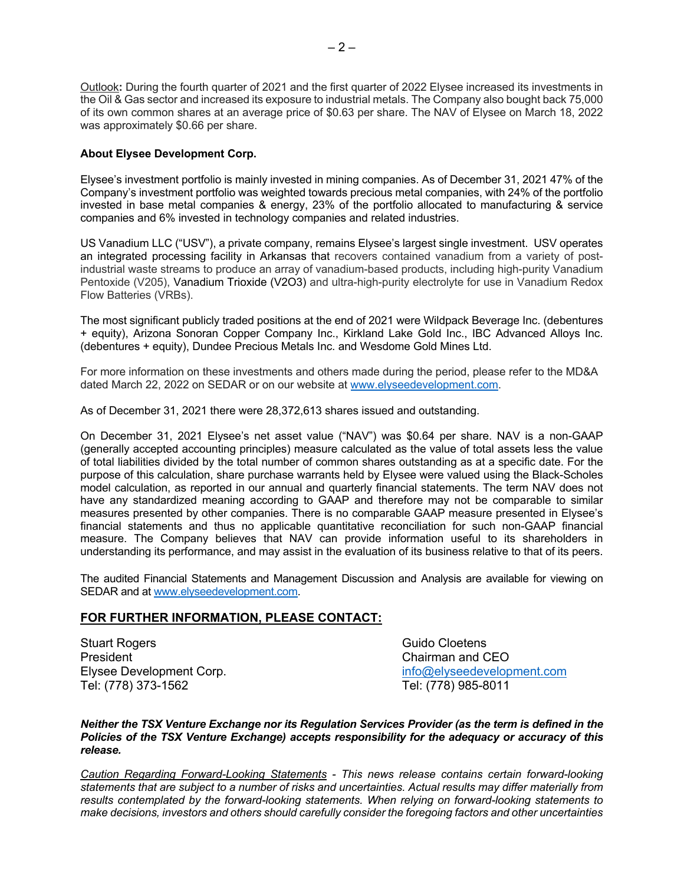$-2-$ 

Outlook**:** During the fourth quarter of 2021 and the first quarter of 2022 Elysee increased its investments in the Oil & Gas sector and increased its exposure to industrial metals. The Company also bought back 75,000 of its own common shares at an average price of \$0.63 per share. The NAV of Elysee on March 18, 2022 was approximately \$0.66 per share.

## **About Elysee Development Corp.**

Elysee's investment portfolio is mainly invested in mining companies. As of December 31, 2021 47% of the Company's investment portfolio was weighted towards precious metal companies, with 24% of the portfolio invested in base metal companies & energy, 23% of the portfolio allocated to manufacturing & service companies and 6% invested in technology companies and related industries.

US Vanadium LLC ("USV"), a private company, remains Elysee's largest single investment. USV operates an integrated processing facility in Arkansas that recovers contained vanadium from a variety of postindustrial waste streams to produce an array of vanadium-based products, including high-purity Vanadium Pentoxide (V205), Vanadium Trioxide (V2O3) and ultra-high-purity electrolyte for use in Vanadium Redox Flow Batteries (VRBs).

The most significant publicly traded positions at the end of 2021 were Wildpack Beverage Inc. (debentures + equity), Arizona Sonoran Copper Company Inc., Kirkland Lake Gold Inc., IBC Advanced Alloys Inc. (debentures + equity), Dundee Precious Metals Inc. and Wesdome Gold Mines Ltd.

For more information on these investments and others made during the period, please refer to the MD&A dated March 22, 2022 on SEDAR or on our website at www.elyseedevelopment.com.

As of December 31, 2021 there were 28,372,613 shares issued and outstanding.

On December 31, 2021 Elysee's net asset value ("NAV") was \$0.64 per share. NAV is a non-GAAP (generally accepted accounting principles) measure calculated as the value of total assets less the value of total liabilities divided by the total number of common shares outstanding as at a specific date. For the purpose of this calculation, share purchase warrants held by Elysee were valued using the Black-Scholes model calculation, as reported in our annual and quarterly financial statements. The term NAV does not have any standardized meaning according to GAAP and therefore may not be comparable to similar measures presented by other companies. There is no comparable GAAP measure presented in Elysee's financial statements and thus no applicable quantitative reconciliation for such non-GAAP financial measure. The Company believes that NAV can provide information useful to its shareholders in understanding its performance, and may assist in the evaluation of its business relative to that of its peers.

The audited Financial Statements and Management Discussion and Analysis are available for viewing on SEDAR and at www.elyseedevelopment.com.

### **FOR FURTHER INFORMATION, PLEASE CONTACT:**

Stuart Rogers Guido Cloetens President Chairman and CEO Tel: (778) 373-1562 Tel: (778) 985-8011

Elysee Development Corp. info@elyseedevelopment.com

*Neither the TSX Venture Exchange nor its Regulation Services Provider (as the term is defined in the Policies of the TSX Venture Exchange) accepts responsibility for the adequacy or accuracy of this release.*

*Caution Regarding Forward-Looking Statements - This news release contains certain forward-looking statements that are subject to a number of risks and uncertainties. Actual results may differ materially from results contemplated by the forward-looking statements. When relying on forward-looking statements to make decisions, investors and others should carefully consider the foregoing factors and other uncertainties*